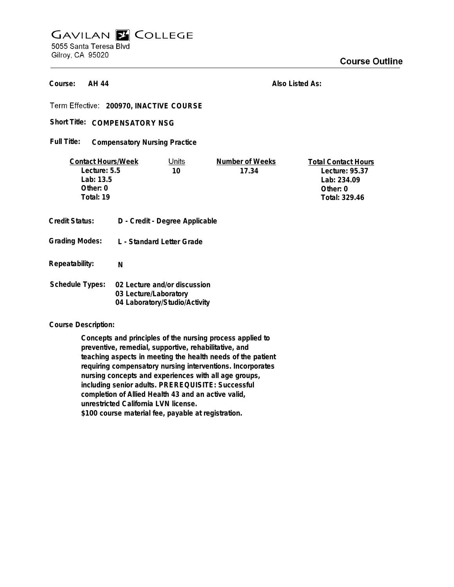## **GAVILAN E COLLEGE** 5055 Santa Teresa Blvd Gilroy, CA 95020

**Course Outline** 

**AH 44 Course:**

**Also Listed As:**

**200970, INACTIVE COURSE**

Short Title: COMPENSATORY NSG

**Compensatory Nursing Practice Full Title:**

| <b>Contact Hours/Week</b> |                           | Units                          | Number of Weeks | <b>Total Contact Hours</b> |
|---------------------------|---------------------------|--------------------------------|-----------------|----------------------------|
| Lecture: 5.5              |                           | 10                             | 17.34           | Lecture: 95.37             |
| Lab: 13.5                 |                           |                                |                 | Lab: 234.09                |
| Other: $0$                |                           |                                |                 | Other: $0$                 |
| Total: 19                 |                           |                                |                 | Total: 329.46              |
| <b>Credit Status:</b>     |                           | D - Credit - Degree Applicable |                 |                            |
| <b>Grading Modes:</b>     | L - Standard Letter Grade |                                |                 |                            |
| Repeatability:            | N                         |                                |                 |                            |

**Schedule Types: 02 Lecture and/or discussion 03 Lecture/Laboratory 04 Laboratory/Studio/Activity**

**Course Description:**

**Concepts and principles of the nursing process applied to preventive, remedial, supportive, rehabilitative, and teaching aspects in meeting the health needs of the patient requiring compensatory nursing interventions. Incorporates nursing concepts and experiences with all age groups, including senior adults. PREREQUISITE: Successful completion of Allied Health 43 and an active valid, unrestricted California LVN license. \$100 course material fee, payable at registration.**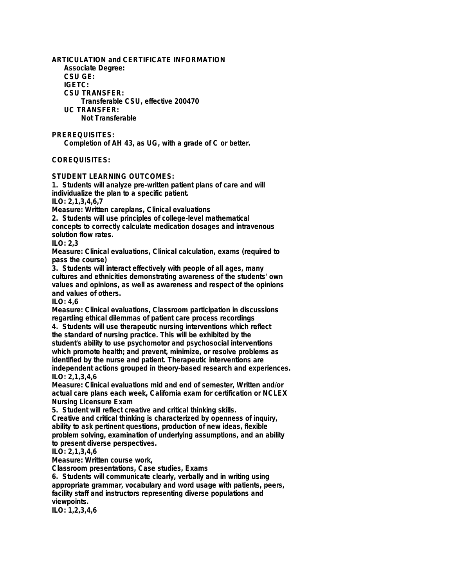**ARTICULATION and CERTIFICATE INFORMATION Associate Degree: CSU GE: IGETC: CSU TRANSFER: Transferable CSU, effective 200470 UC TRANSFER: Not Transferable PREREQUISITES: Completion of AH 43, as UG, with a grade of C or better.**

## **COREQUISITES:**

**STUDENT LEARNING OUTCOMES:**

**1. Students will analyze pre-written patient plans of care and will individualize the plan to a specific patient. ILO: 2,1,3,4,6,7**

**Measure: Written careplans, Clinical evaluations**

**2. Students will use principles of college-level mathematical**

**concepts to correctly calculate medication dosages and intravenous solution flow rates.**

**ILO: 2,3**

**Measure: Clinical evaluations, Clinical calculation, exams (required to pass the course)**

**3. Students will interact effectively with people of all ages, many cultures and ethnicities demonstrating awareness of the students' own values and opinions, as well as awareness and respect of the opinions and values of others.**

**ILO: 4,6**

**Measure: Clinical evaluations, Classroom participation in discussions regarding ethical dilemmas of patient care process recordings 4. Students will use therapeutic nursing interventions which reflect the standard of nursing practice. This will be exhibited by the student's ability to use psychomotor and psychosocial interventions**

**which promote health; and prevent, minimize, or resolve problems as identified by the nurse and patient. Therapeutic interventions are independent actions grouped in theory-based research and experiences. ILO: 2,1,3,4,6**

**Measure: Clinical evaluations mid and end of semester, Written and/or actual care plans each week, California exam for certification or NCLEX Nursing Licensure Exam**

**5. Student will reflect creative and critical thinking skills.**

**Creative and critical thinking is characterized by openness of inquiry, ability to ask pertinent questions, production of new ideas, flexible problem solving, examination of underlying assumptions, and an ability to present diverse perspectives.**

**ILO: 2,1,3,4,6**

**Measure: Written course work,**

**Classroom presentations, Case studies, Exams**

**6. Students will communicate clearly, verbally and in writing using appropriate grammar, vocabulary and word usage with patients, peers, facility staff and instructors representing diverse populations and viewpoints.**

**ILO: 1,2,3,4,6**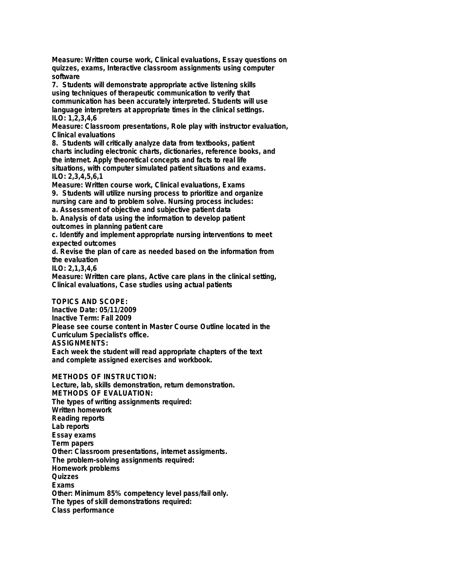**Measure: Written course work, Clinical evaluations, Essay questions on quizzes, exams, Interactive classroom assignments using computer software**

**7. Students will demonstrate appropriate active listening skills using techniques of therapeutic communication to verify that communication has been accurately interpreted. Students will use language interpreters at appropriate times in the clinical settings. ILO: 1,2,3,4,6**

**Measure: Classroom presentations, Role play with instructor evaluation, Clinical evaluations**

**8. Students will critically analyze data from textbooks, patient charts including electronic charts, dictionaries, reference books, and the internet. Apply theoretical concepts and facts to real life situations, with computer simulated patient situations and exams. ILO: 2,3,4,5,6,1**

**Measure: Written course work, Clinical evaluations, Exams 9. Students will utilize nursing process to prioritize and organize nursing care and to problem solve. Nursing process includes:**

**a. Assessment of objective and subjective patient data b. Analysis of data using the information to develop patient**

**outcomes in planning patient care**

**c. Identify and implement appropriate nursing interventions to meet expected outcomes**

**d. Revise the plan of care as needed based on the information from the evaluation**

**ILO: 2,1,3,4,6**

**Measure: Written care plans, Active care plans in the clinical setting, Clinical evaluations, Case studies using actual patients**

**TOPICS AND SCOPE:**

**Inactive Date: 05/11/2009 Inactive Term: Fall 2009 Please see course content in Master Course Outline located in the Curriculum Specialist's office. ASSIGNMENTS: Each week the student will read appropriate chapters of the text and complete assigned exercises and workbook.**

**METHODS OF INSTRUCTION:**

**Lecture, lab, skills demonstration, return demonstration. METHODS OF EVALUATION: The types of writing assignments required: Written homework Reading reports Lab reports Essay exams Term papers Other: Classroom presentations, internet assigments. The problem-solving assignments required: Homework problems Quizzes Exams Other: Minimum 85% competency level pass/fail only. The types of skill demonstrations required: Class performance**